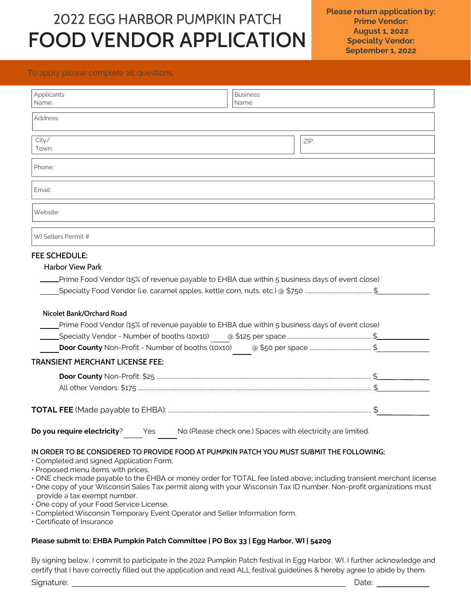# FOOD VENDOR APPLICATION 2022 EGG HARBOR PUMPKIN PATCH

### To apply please complete all questions.

| Applicants<br>Name:                                                                                                                                                                                                                                                                                                                                                                                                                                                                                                                                                                                                   | <b>Business</b><br>Name: |                                                             |  |
|-----------------------------------------------------------------------------------------------------------------------------------------------------------------------------------------------------------------------------------------------------------------------------------------------------------------------------------------------------------------------------------------------------------------------------------------------------------------------------------------------------------------------------------------------------------------------------------------------------------------------|--------------------------|-------------------------------------------------------------|--|
| Address:                                                                                                                                                                                                                                                                                                                                                                                                                                                                                                                                                                                                              |                          |                                                             |  |
| City/<br>Town:                                                                                                                                                                                                                                                                                                                                                                                                                                                                                                                                                                                                        |                          | ZIP:                                                        |  |
| Phone:                                                                                                                                                                                                                                                                                                                                                                                                                                                                                                                                                                                                                |                          |                                                             |  |
| Email:                                                                                                                                                                                                                                                                                                                                                                                                                                                                                                                                                                                                                |                          |                                                             |  |
| Website:                                                                                                                                                                                                                                                                                                                                                                                                                                                                                                                                                                                                              |                          |                                                             |  |
| WI Sellers Permit #                                                                                                                                                                                                                                                                                                                                                                                                                                                                                                                                                                                                   |                          |                                                             |  |
| Prime Food Vendor (15% of revenue payable to EHBA due within 5 business days of event close)<br>_Specialty Food Vendor (i.e. caramel apples, kettle corn, nuts, etc.) @ \$750 ………………………………………………………………………………………<br>Nicolet Bank/Orchard Road<br>Prime Food Vendor (15% of revenue payable to EHBA due within 5 business days of event close)                                                                                                                                                                                                                                                                          |                          |                                                             |  |
| <b>TRANSIENT MERCHANT LICENSE FEE:</b>                                                                                                                                                                                                                                                                                                                                                                                                                                                                                                                                                                                |                          |                                                             |  |
|                                                                                                                                                                                                                                                                                                                                                                                                                                                                                                                                                                                                                       |                          |                                                             |  |
|                                                                                                                                                                                                                                                                                                                                                                                                                                                                                                                                                                                                                       |                          |                                                             |  |
| Do you require electricity?<br>Yes                                                                                                                                                                                                                                                                                                                                                                                                                                                                                                                                                                                    |                          | No (Please check one.) Spaces with electricity are limited. |  |
| IN ORDER TO BE CONSIDERED TO PROVIDE FOOD AT PUMPKIN PATCH YOU MUST SUBMIT THE FOLLOWING:<br>• Completed and signed Application Form.<br>· Proposed menu items with prices.<br>. ONE check made payable to the EHBA or money order for TOTAL fee listed above; including transient merchant license.<br>. One copy of your Wisconsin Sales Tax permit along with your Wisconsin Tax ID number. Non-profit organizations must<br>provide a tax exempt number.<br>· One copy of your Food Service License.<br>· Completed Wisconsin Temporary Event Operator and Seller Information form.<br>• Certificate of Insurance |                          |                                                             |  |

ertificate of Insurance

### **Please submit to: EHBA Pumpkin Patch Committee | PO Box 33 | Egg Harbor, WI | 54209**

By signing below, I commit to participate in the 2022 Pumpkin Patch festival in Egg Harbor, WI. I further acknowledge and certify that I have correctly filled out the application and read ALL festival guidelines & hereby agree to abide by them.

Signature: Date: Date: Date: Date: Date: Date: Date: Date: Date: Date: Date: Date: Date: Date: Date: Date: Date: Date: Date: Date: Date: Date: Date: Date: Date: Date: Date: Date: Date: Date: Date: Date: Date: Date: Date: D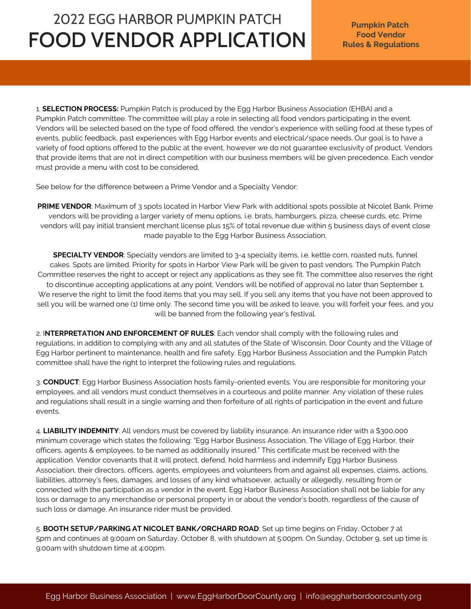# **Food Vendor** FOOD VENDOR APPLICATION **Rules & Regulations** 2022 EGG HARBOR PUMPKIN PATCH

1. **SELECTION PROCESS:** Pumpkin Patch is produced by the Egg Harbor Business Association (EHBA) and a Pumpkin Patch committee. The committee will play a role in selecting all food vendors participating in the event. Vendors will be selected based on the type of food offered, the vendor's experience with selling food at these types of events, public feedback, past experiences with Egg Harbor events and electrical/space needs. Our goal is to have a variety of food options offered to the public at the event, however we do not guarantee exclusivity of product. Vendors that provide items that are not in direct competition with our business members will be given precedence. Each vendor must provide a menu with cost to be considered.

See below for the difference between a Prime Vendor and a Specialty Vendor:

**PRIME VENDOR**: Maximum of 3 spots located in Harbor View Park with additional spots possible at Nicolet Bank. Prime vendors will be providing a larger variety of menu options, i.e. brats, hamburgers, pizza, cheese curds, etc. Prime vendors will pay initial transient merchant license plus 15% of total revenue due within 5 business days of event close made payable to the Egg Harbor Business Association.

**SPECIALTY VENDOR**: Specialty vendors are limited to 3-4 specialty items, i.e. kettle corn, roasted nuts, funnel cakes. Spots are limited. Priority for spots in Harbor View Park will be given to past vendors. The Pumpkin Patch Committee reserves the right to accept or reject any applications as they see fit. The committee also reserves the right to discontinue accepting applications at any point. Vendors will be notified of approval no later than September 1. We reserve the right to limit the food items that you may sell. If you sell any items that you have not been approved to sell you will be warned one (1) time only. The second time you will be asked to leave, you will forfeit your fees, and you will be banned from the following year's festival.

2. I**NTERPRETATION AND ENFORCEMENT OF RULES**: Each vendor shall comply with the following rules and regulations, in addition to complying with any and all statutes of the State of Wisconsin, Door County and the Village of Egg Harbor pertinent to maintenance, health and fire safety. Egg Harbor Business Association and the Pumpkin Patch committee shall have the right to interpret the following rules and regulations.

3. **CONDUCT**: Egg Harbor Business Association hosts family-oriented events. You are responsible for monitoring your employees, and all vendors must conduct themselves in a courteous and polite manner. Any violation of these rules and regulations shall result in a single warning and then forfeiture of all rights of participation in the event and future events.

4. **LIABILITY INDEMNITY**: All vendors must be covered by liability insurance. An insurance rider with a \$300,000 minimum coverage which states the following: "Egg Harbor Business Association, The Village of Egg Harbor, their officers, agents & employees, to be named as additionally insured." This certificate must be received with the application. Vendor covenants that it will protect, defend, hold harmless and indemnify Egg Harbor Business Association, their directors, officers, agents, employees and volunteers from and against all expenses, claims, actions, liabilities, attorney's fees, damages, and losses of any kind whatsoever, actually or allegedly, resulting from or connected with the participation as a vendor in the event. Egg Harbor Business Association shall not be liable for any loss or damage to any merchandise or personal property in or about the vendor's booth, regardless of the cause of such loss or damage. An insurance rider must be provided.

5. **BOOTH SETUP/PARKING AT NICOLET BANK/ORCHARD ROAD**: Set up time begins on Friday, October 7 at 5pm and continues at 9:00am on Saturday, October 8, with shutdown at 5:00pm. On Sunday, October 9, set up time is 9:00am with shutdown time at 4:00pm.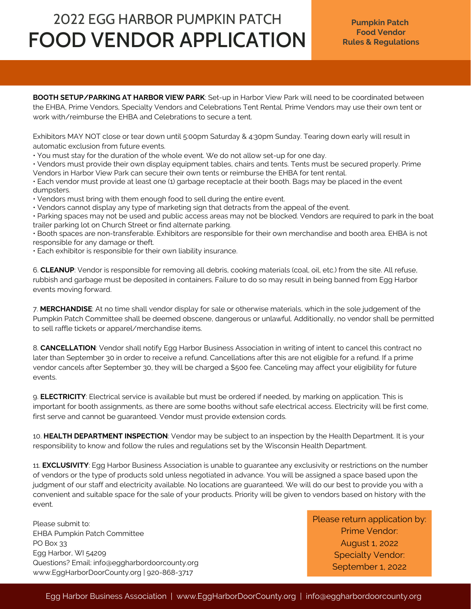# FOOD VENDOR APPLICATION 2022 EGG HARBOR PUMPKIN PATCH

**BOOTH SETUP/PARKING AT HARBOR VIEW PARK**: Set-up in Harbor View Park will need to be coordinated between the EHBA, Prime Vendors, Specialty Vendors and Celebrations Tent Rental. Prime Vendors may use their own tent or work with/reimburse the EHBA and Celebrations to secure a tent.

Exhibitors MAY NOT close or tear down until 5:00pm Saturday & 4:30pm Sunday. Tearing down early will result in automatic exclusion from future events.

• You must stay for the duration of the whole event. We do not allow set-up for one day.

• Vendors must provide their own display equipment tables, chairs and tents. Tents must be secured properly. Prime Vendors in Harbor View Park can secure their own tents or reimburse the EHBA for tent rental.

• Each vendor must provide at least one (1) garbage receptacle at their booth. Bags may be placed in the event dumpsters.

• Vendors must bring with them enough food to sell during the entire event.

• Vendors cannot display any type of marketing sign that detracts from the appeal of the event.

• Parking spaces may not be used and public access areas may not be blocked. Vendors are required to park in the boat trailer parking lot on Church Street or find alternate parking.

• Booth spaces are non-transferable. Exhibitors are responsible for their own merchandise and booth area. EHBA is not responsible for any damage or theft.

• Each exhibitor is responsible for their own liability insurance.

6. **CLEANUP**: Vendor is responsible for removing all debris, cooking materials (coal, oil, etc.) from the site. All refuse, rubbish and garbage must be deposited in containers. Failure to do so may result in being banned from Egg Harbor events moving forward.

7. **MERCHANDISE**: At no time shall vendor display for sale or otherwise materials, which in the sole judgement of the Pumpkin Patch Committee shall be deemed obscene, dangerous or unlawful. Additionally, no vendor shall be permitted to sell raffle tickets or apparel/merchandise items.

8. **CANCELLATION**: Vendor shall notify Egg Harbor Business Association in writing of intent to cancel this contract no later than September 30 in order to receive a refund. Cancellations after this are not eligible for a refund. If a prime vendor cancels after September 30, they will be charged a \$500 fee. Canceling may affect your eligibility for future events.

9. **ELECTRICITY**: Electrical service is available but must be ordered if needed, by marking on application. This is important for booth assignments, as there are some booths without safe electrical access. Electricity will be first come, first serve and cannot be guaranteed. Vendor must provide extension cords.

10. **HEALTH DEPARTMENT INSPECTION**: Vendor may be subject to an inspection by the Health Department. It is your responsibility to know and follow the rules and regulations set by the Wisconsin Health Department.

11. **EXCLUSIVITY**: Egg Harbor Business Association is unable to guarantee any exclusivity or restrictions on the number of vendors or the type of products sold unless negotiated in advance. You will be assigned a space based upon the judgment of our staff and electricity available. No locations are guaranteed. We will do our best to provide you with a convenient and suitable space for the sale of your products. Priority will be given to vendors based on history with the event.

Please submit to: EHBA Pumpkin Patch Committee PO Box 33 Egg Harbor, WI 54209 Questions? Email: info@eggharbordoorcounty.org www.EggHarborDoorCounty.org | 920-868-3717

Please return application by: Prime Vendor: August 1, 2022 Specialty Vendor: September 1, 2022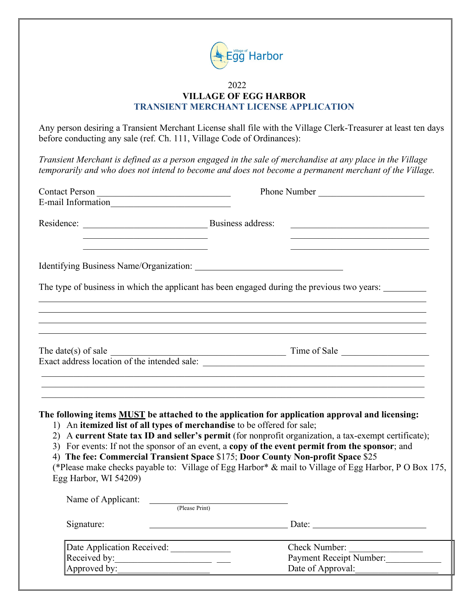

## 2022 **VILLAGE OF EGG HARBOR TRANSIENT MERCHANT LICENSE APPLICATION**

Any person desiring a Transient Merchant License shall file with the Village Clerk-Treasurer at least ten days before conducting any sale (ref. Ch. 111, Village Code of Ordinances):

*Transient Merchant is defined as a person engaged in the sale of merchandise at any place in the Village temporarily and who does not intend to become and does not become a permanent merchant of the Village.*

| Contact Person                                                                                                                | Phone Number                                                                                                                                                                                                                                                                                                                                                                                                                                                                                                                                                                              |
|-------------------------------------------------------------------------------------------------------------------------------|-------------------------------------------------------------------------------------------------------------------------------------------------------------------------------------------------------------------------------------------------------------------------------------------------------------------------------------------------------------------------------------------------------------------------------------------------------------------------------------------------------------------------------------------------------------------------------------------|
|                                                                                                                               |                                                                                                                                                                                                                                                                                                                                                                                                                                                                                                                                                                                           |
|                                                                                                                               | <u> 1990 - Johann John Stoff, market fransk kanton og den større og det</u>                                                                                                                                                                                                                                                                                                                                                                                                                                                                                                               |
| <u> 1989 - Johann John Stone, mars et al. 1989 - John Stone, mars et al. 1989 - John Stone, mars et al. 1989 - John Stone</u> | the control of the control of the control of the control of the control of the control of                                                                                                                                                                                                                                                                                                                                                                                                                                                                                                 |
|                                                                                                                               | The type of business in which the applicant has been engaged during the previous two years:                                                                                                                                                                                                                                                                                                                                                                                                                                                                                               |
|                                                                                                                               |                                                                                                                                                                                                                                                                                                                                                                                                                                                                                                                                                                                           |
|                                                                                                                               |                                                                                                                                                                                                                                                                                                                                                                                                                                                                                                                                                                                           |
| Egg Harbor, WI 54209)                                                                                                         | The following items <b>MUST</b> be attached to the application for application approval and licensing:<br>1) An itemized list of all types of merchandise to be offered for sale;<br>2) A current State tax ID and seller's permit (for nonprofit organization, a tax-exempt certificate);<br>3) For events: If not the sponsor of an event, a copy of the event permit from the sponsor; and<br>4) The fee: Commercial Transient Space \$175; Door County Non-profit Space \$25<br>(*Please make checks payable to: Village of Egg Harbor* & mail to Village of Egg Harbor, P O Box 175, |
| Name of Applicant: <u>College Print</u>                                                                                       |                                                                                                                                                                                                                                                                                                                                                                                                                                                                                                                                                                                           |
| Signature:                                                                                                                    |                                                                                                                                                                                                                                                                                                                                                                                                                                                                                                                                                                                           |
| Date Application Received: ____________<br>Received by:                                                                       | Check Number:<br><b>Payment Receipt Number:</b>                                                                                                                                                                                                                                                                                                                                                                                                                                                                                                                                           |

Approved by:\_\_\_\_\_\_\_\_\_\_\_\_\_\_\_\_\_\_\_\_ Date of Approval:\_\_\_\_\_\_\_\_\_\_\_\_\_\_\_\_\_\_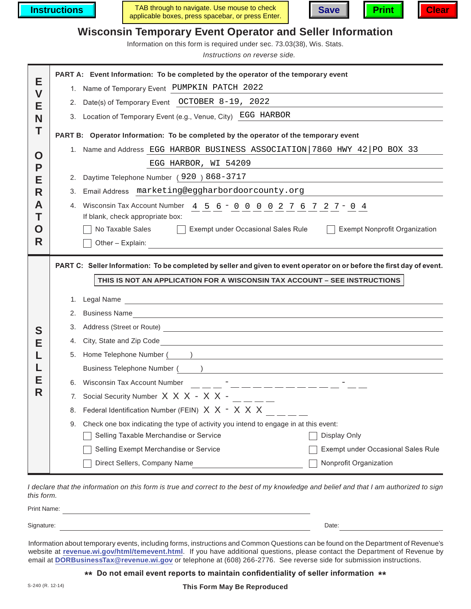**Instructions**







# **Wisconsin Temporary Event Operator and Seller Information**

Information on this form is required under sec. 73.03(38), Wis. Stats.

*Instructions on reverse side.*

|                   |                                                                                                                                                                                                     | PART A: Event Information: To be completed by the operator of the temporary event                                                                         |  |  |  |  |
|-------------------|-----------------------------------------------------------------------------------------------------------------------------------------------------------------------------------------------------|-----------------------------------------------------------------------------------------------------------------------------------------------------------|--|--|--|--|
| Е<br>$\mathsf{V}$ |                                                                                                                                                                                                     | 1. Name of Temporary Event PUMPKIN PATCH 2022                                                                                                             |  |  |  |  |
| Е                 | 2.                                                                                                                                                                                                  | Date(s) of Temporary Event OCTOBER 8-19, 2022                                                                                                             |  |  |  |  |
| N                 |                                                                                                                                                                                                     | 3. Location of Temporary Event (e.g., Venue, City) EGG HARBOR                                                                                             |  |  |  |  |
| Т                 |                                                                                                                                                                                                     | PART B: Operator Information: To be completed by the operator of the temporary event                                                                      |  |  |  |  |
| O                 |                                                                                                                                                                                                     | 1. Name and Address EGG HARBOR BUSINESS ASSOCIATION 7860 HWY 42 PO BOX 33                                                                                 |  |  |  |  |
| Р                 |                                                                                                                                                                                                     | EGG HARBOR, WI 54209                                                                                                                                      |  |  |  |  |
| Е                 | 2.                                                                                                                                                                                                  | Daytime Telephone Number (920) 868-3717                                                                                                                   |  |  |  |  |
| R                 | 3.                                                                                                                                                                                                  | Email Address marketing@eggharbordoorcounty.org                                                                                                           |  |  |  |  |
| A                 | 4.                                                                                                                                                                                                  | Wisconsin Tax Account Number 4 5 6 - 0 0 0 0 2 7 6 7 2 7 - 0 4                                                                                            |  |  |  |  |
| Т                 | If blank, check appropriate box:                                                                                                                                                                    |                                                                                                                                                           |  |  |  |  |
| O                 |                                                                                                                                                                                                     | <b>Exempt Nonprofit Organization</b><br>No Taxable Sales<br>Exempt under Occasional Sales Rule                                                            |  |  |  |  |
| R                 |                                                                                                                                                                                                     | Other - Explain:                                                                                                                                          |  |  |  |  |
|                   | PART C: Seller Information: To be completed by seller and given to event operator on or before the first day of event.<br>THIS IS NOT AN APPLICATION FOR A WISCONSIN TAX ACCOUNT - SEE INSTRUCTIONS |                                                                                                                                                           |  |  |  |  |
|                   |                                                                                                                                                                                                     |                                                                                                                                                           |  |  |  |  |
|                   |                                                                                                                                                                                                     |                                                                                                                                                           |  |  |  |  |
|                   |                                                                                                                                                                                                     | 1. Legal Name<br>2. Business Name<br><u> 1989 - Johann John Stone, markin sanadi a shekara ta 1989 - An tsara tsara tsara tsara tsara tsara tsara tsa</u> |  |  |  |  |
|                   | 3.                                                                                                                                                                                                  |                                                                                                                                                           |  |  |  |  |
| S<br>Е            |                                                                                                                                                                                                     |                                                                                                                                                           |  |  |  |  |
|                   |                                                                                                                                                                                                     | 5. Home Telephone Number ( )                                                                                                                              |  |  |  |  |
|                   |                                                                                                                                                                                                     |                                                                                                                                                           |  |  |  |  |
| Е                 |                                                                                                                                                                                                     |                                                                                                                                                           |  |  |  |  |
| R                 |                                                                                                                                                                                                     | 7. Social Security Number $X \times X - X \times -$ _____                                                                                                 |  |  |  |  |
|                   |                                                                                                                                                                                                     | 8. Federal Identification Number (FEIN) X X - X X X                                                                                                       |  |  |  |  |
|                   | 9.                                                                                                                                                                                                  | Check one box indicating the type of activity you intend to engage in at this event:                                                                      |  |  |  |  |
|                   |                                                                                                                                                                                                     | Selling Taxable Merchandise or Service<br>Display Only                                                                                                    |  |  |  |  |
|                   |                                                                                                                                                                                                     | Selling Exempt Merchandise or Service<br>Exempt under Occasional Sales Rule<br>Nonprofit Organization                                                     |  |  |  |  |

*I declare that the information on this form is true and correct to the best of my knowledge and belief and that I am authorized to sign this form.*

| Print Name:<br>$-1110$       |       |  |
|------------------------------|-------|--|
|                              |       |  |
| Signature<br>שיש<br>Tiuturo. | Date: |  |

Information about temporary events, including forms, instructions and Common Questions can be found on the Department of Revenue's website at **revenue.wi.gov/html/temevent.html**. If you have additional questions, please contact the Department of Revenue by email at **DORBusinessTax@revenue.wi.gov** or telephone at (608) 266-2776. See reverse side for submission instructions.

**\*\* Do not email event reports to maintain confidentiality of seller information \*\***